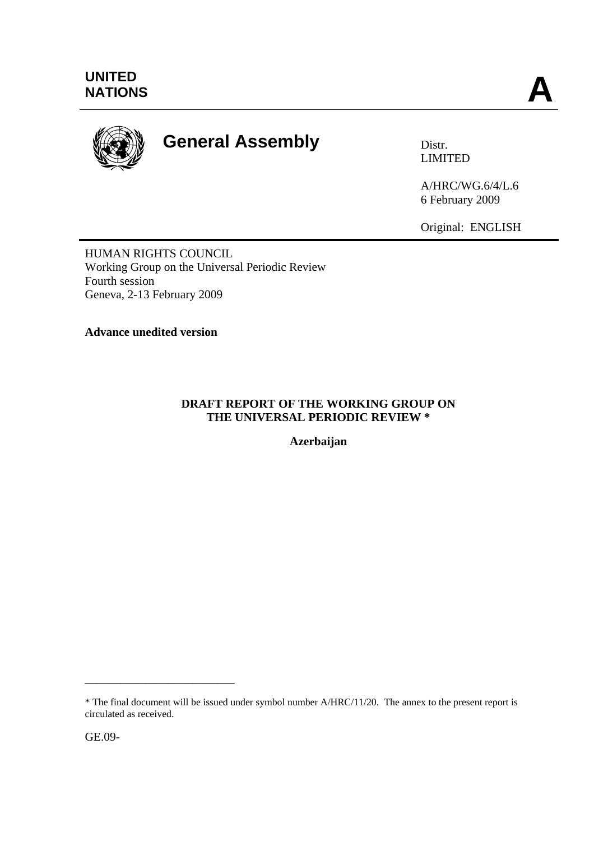

# **General Assembly Distra Distr.**

LIMITED

A/HRC/WG.6/4/L.6 6 February 2009

Original: ENGLISH

HUMAN RIGHTS COUNCIL Working Group on the Universal Periodic Review Fourth session Geneva, 2-13 February 2009

**Advance unedited version**

#### **DRAFT REPORT OF THE WORKING GROUP ON THE UNIVERSAL PERIODIC REVIEW \***

**Azerbaijan** 

\_\_\_\_\_\_\_\_\_\_\_\_\_\_\_\_\_\_\_\_\_\_\_\_\_

<sup>\*</sup> The final document will be issued under symbol number A/HRC/11/20. The annex to the present report is circulated as received.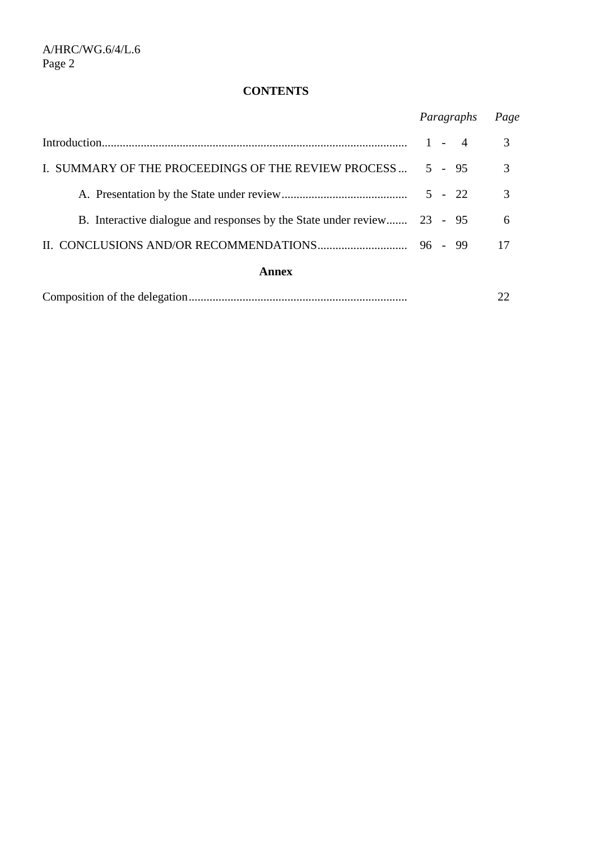# **CONTENTS**

|                                                                         | Paragraphs | Page |
|-------------------------------------------------------------------------|------------|------|
|                                                                         | $1 - 4$    | 3    |
| I. SUMMARY OF THE PROCEEDINGS OF THE REVIEW PROCESS                     | $5 - 95$   | 3    |
|                                                                         | $5 - 22$   | 3    |
| B. Interactive dialogue and responses by the State under review 23 - 95 |            | 6    |
|                                                                         |            | 17   |
| Annex                                                                   |            |      |
|                                                                         |            |      |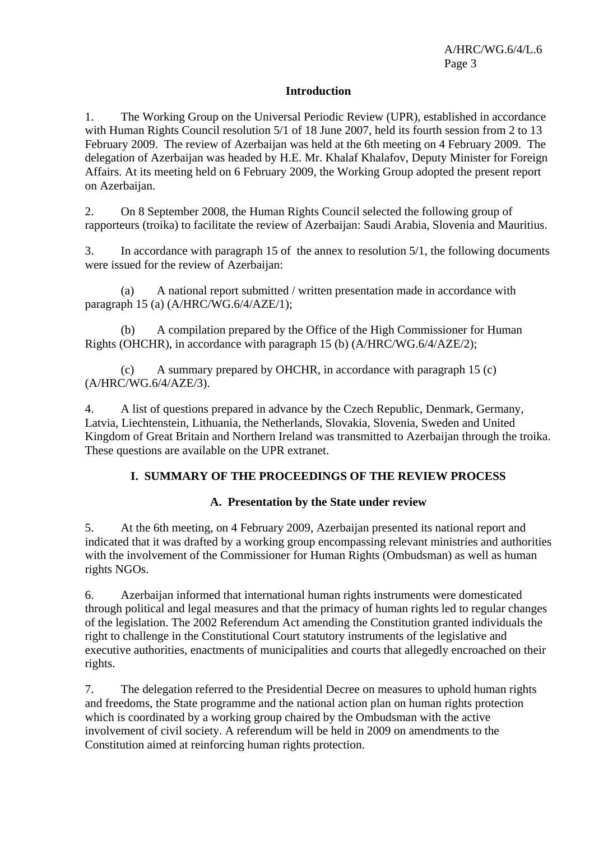#### **Introduction**

1. The Working Group on the Universal Periodic Review (UPR), established in accordance with Human Rights Council resolution 5/1 of 18 June 2007, held its fourth session from 2 to 13 February 2009. The review of Azerbaijan was held at the 6th meeting on 4 February 2009. The delegation of Azerbaijan was headed by H.E. Mr. Khalaf Khalafov, Deputy Minister for Foreign Affairs. At its meeting held on 6 February 2009, the Working Group adopted the present report on Azerbaijan.

2. On 8 September 2008, the Human Rights Council selected the following group of rapporteurs (troika) to facilitate the review of Azerbaijan: Saudi Arabia, Slovenia and Mauritius.

3. In accordance with paragraph 15 of the annex to resolution 5/1, the following documents were issued for the review of Azerbaijan:

 (a) A national report submitted / written presentation made in accordance with paragraph 15 (a) (A/HRC/WG.6/4/AZE/1);

 (b) A compilation prepared by the Office of the High Commissioner for Human Rights (OHCHR), in accordance with paragraph 15 (b) (A/HRC/WG.6/4/AZE/2);

 (c) A summary prepared by OHCHR, in accordance with paragraph 15 (c) (A/HRC/WG.6/4/AZE/3).

4. A list of questions prepared in advance by the Czech Republic, Denmark, Germany, Latvia, Liechtenstein, Lithuania, the Netherlands, Slovakia, Slovenia, Sweden and United Kingdom of Great Britain and Northern Ireland was transmitted to Azerbaijan through the troika. These questions are available on the UPR extranet.

#### **I. SUMMARY OF THE PROCEEDINGS OF THE REVIEW PROCESS**

#### **A. Presentation by the State under review**

5. At the 6th meeting, on 4 February 2009, Azerbaijan presented its national report and indicated that it was drafted by a working group encompassing relevant ministries and authorities with the involvement of the Commissioner for Human Rights (Ombudsman) as well as human rights NGOs.

6. Azerbaijan informed that international human rights instruments were domesticated through political and legal measures and that the primacy of human rights led to regular changes of the legislation. The 2002 Referendum Act amending the Constitution granted individuals the right to challenge in the Constitutional Court statutory instruments of the legislative and executive authorities, enactments of municipalities and courts that allegedly encroached on their rights.

7. The delegation referred to the Presidential Decree on measures to uphold human rights and freedoms, the State programme and the national action plan on human rights protection which is coordinated by a working group chaired by the Ombudsman with the active involvement of civil society. A referendum will be held in 2009 on amendments to the Constitution aimed at reinforcing human rights protection.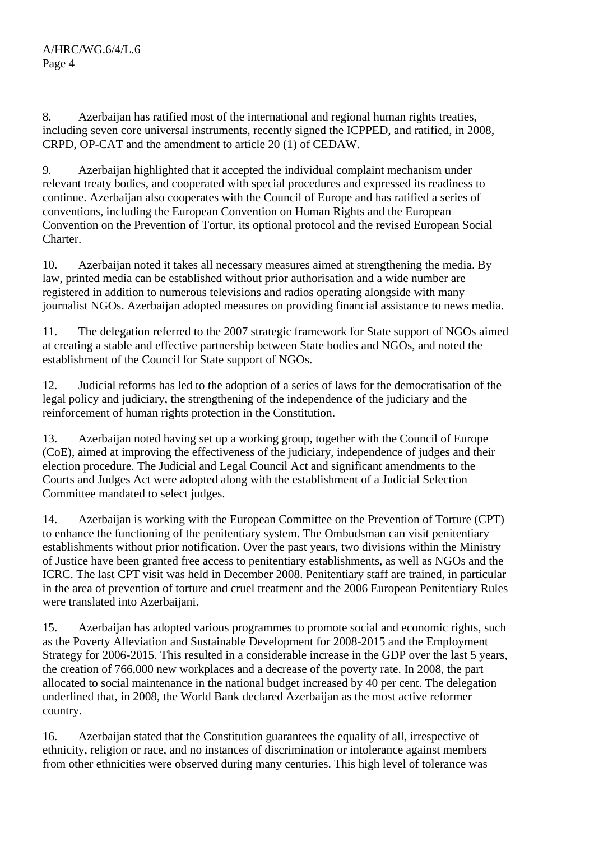8. Azerbaijan has ratified most of the international and regional human rights treaties, including seven core universal instruments, recently signed the ICPPED, and ratified, in 2008, CRPD, OP-CAT and the amendment to article 20 (1) of CEDAW.

9. Azerbaijan highlighted that it accepted the individual complaint mechanism under relevant treaty bodies, and cooperated with special procedures and expressed its readiness to continue. Azerbaijan also cooperates with the Council of Europe and has ratified a series of conventions, including the European Convention on Human Rights and the European Convention on the Prevention of Tortur, its optional protocol and the revised European Social Charter.

10. Azerbaijan noted it takes all necessary measures aimed at strengthening the media. By law, printed media can be established without prior authorisation and a wide number are registered in addition to numerous televisions and radios operating alongside with many journalist NGOs. Azerbaijan adopted measures on providing financial assistance to news media.

11. The delegation referred to the 2007 strategic framework for State support of NGOs aimed at creating a stable and effective partnership between State bodies and NGOs, and noted the establishment of the Council for State support of NGOs.

12. Judicial reforms has led to the adoption of a series of laws for the democratisation of the legal policy and judiciary, the strengthening of the independence of the judiciary and the reinforcement of human rights protection in the Constitution.

13. Azerbaijan noted having set up a working group, together with the Council of Europe (CoE), aimed at improving the effectiveness of the judiciary, independence of judges and their election procedure. The Judicial and Legal Council Act and significant amendments to the Courts and Judges Act were adopted along with the establishment of a Judicial Selection Committee mandated to select judges.

14. Azerbaijan is working with the European Committee on the Prevention of Torture (CPT) to enhance the functioning of the penitentiary system. The Ombudsman can visit penitentiary establishments without prior notification. Over the past years, two divisions within the Ministry of Justice have been granted free access to penitentiary establishments, as well as NGOs and the ICRC. The last CPT visit was held in December 2008. Penitentiary staff are trained, in particular in the area of prevention of torture and cruel treatment and the 2006 European Penitentiary Rules were translated into Azerbaijani.

15. Azerbaijan has adopted various programmes to promote social and economic rights, such as the Poverty Alleviation and Sustainable Development for 2008-2015 and the Employment Strategy for 2006-2015. This resulted in a considerable increase in the GDP over the last 5 years, the creation of 766,000 new workplaces and a decrease of the poverty rate. In 2008, the part allocated to social maintenance in the national budget increased by 40 per cent. The delegation underlined that, in 2008, the World Bank declared Azerbaijan as the most active reformer country.

16. Azerbaijan stated that the Constitution guarantees the equality of all, irrespective of ethnicity, religion or race, and no instances of discrimination or intolerance against members from other ethnicities were observed during many centuries. This high level of tolerance was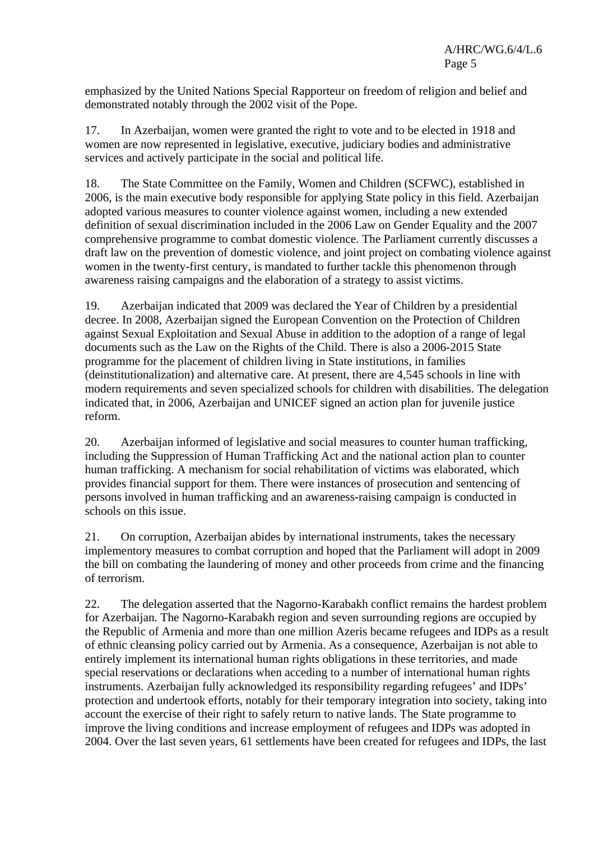emphasized by the United Nations Special Rapporteur on freedom of religion and belief and demonstrated notably through the 2002 visit of the Pope.

17. In Azerbaijan, women were granted the right to vote and to be elected in 1918 and women are now represented in legislative, executive, judiciary bodies and administrative services and actively participate in the social and political life.

18. The State Committee on the Family, Women and Children (SCFWC), established in 2006, is the main executive body responsible for applying State policy in this field. Azerbaijan adopted various measures to counter violence against women, including a new extended definition of sexual discrimination included in the 2006 Law on Gender Equality and the 2007 comprehensive programme to combat domestic violence. The Parliament currently discusses a draft law on the prevention of domestic violence, and joint project on combating violence against women in the twenty-first century, is mandated to further tackle this phenomenon through awareness raising campaigns and the elaboration of a strategy to assist victims.

19. Azerbaijan indicated that 2009 was declared the Year of Children by a presidential decree. In 2008, Azerbaijan signed the European Convention on the Protection of Children against Sexual Exploitation and Sexual Abuse in addition to the adoption of a range of legal documents such as the Law on the Rights of the Child. There is also a 2006-2015 State programme for the placement of children living in State institutions, in families (deinstitutionalization) and alternative care. At present, there are 4,545 schools in line with modern requirements and seven specialized schools for children with disabilities. The delegation indicated that, in 2006, Azerbaijan and UNICEF signed an action plan for juvenile justice reform.

20. Azerbaijan informed of legislative and social measures to counter human trafficking, including the Suppression of Human Trafficking Act and the national action plan to counter human trafficking. A mechanism for social rehabilitation of victims was elaborated, which provides financial support for them. There were instances of prosecution and sentencing of persons involved in human trafficking and an awareness-raising campaign is conducted in schools on this issue.

21. On corruption, Azerbaijan abides by international instruments, takes the necessary implementory measures to combat corruption and hoped that the Parliament will adopt in 2009 the bill on combating the laundering of money and other proceeds from crime and the financing of terrorism.

22. The delegation asserted that the Nagorno-Karabakh conflict remains the hardest problem for Azerbaijan. The Nagorno-Karabakh region and seven surrounding regions are occupied by the Republic of Armenia and more than one million Azeris became refugees and IDPs as a result of ethnic cleansing policy carried out by Armenia. As a consequence, Azerbaijan is not able to entirely implement its international human rights obligations in these territories, and made special reservations or declarations when acceding to a number of international human rights instruments. Azerbaijan fully acknowledged its responsibility regarding refugees' and IDPs' protection and undertook efforts, notably for their temporary integration into society, taking into account the exercise of their right to safely return to native lands. The State programme to improve the living conditions and increase employment of refugees and IDPs was adopted in 2004. Over the last seven years, 61 settlements have been created for refugees and IDPs, the last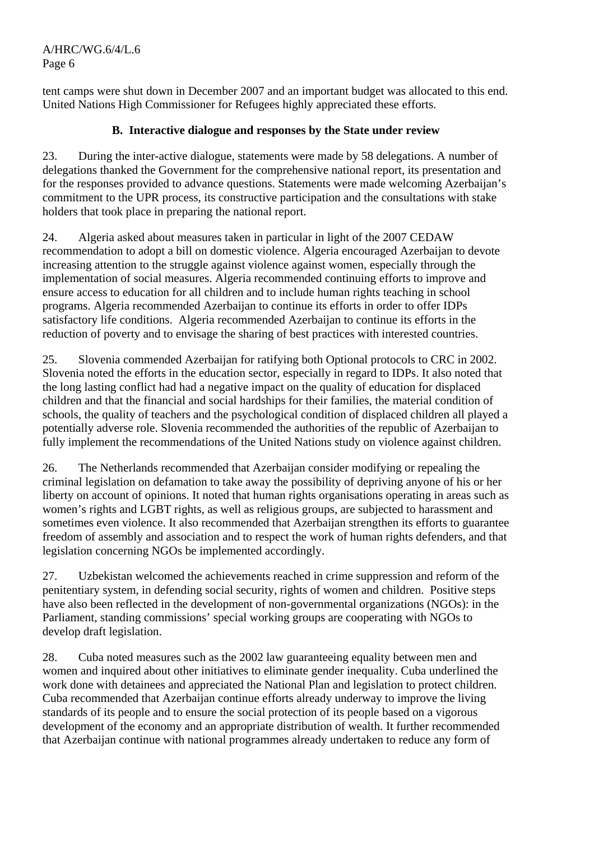A/HRC/WG.6/4/L.6 Page 6

tent camps were shut down in December 2007 and an important budget was allocated to this end. United Nations High Commissioner for Refugees highly appreciated these efforts.

### **B. Interactive dialogue and responses by the State under review**

23. During the inter-active dialogue, statements were made by 58 delegations. A number of delegations thanked the Government for the comprehensive national report, its presentation and for the responses provided to advance questions. Statements were made welcoming Azerbaijan's commitment to the UPR process, its constructive participation and the consultations with stake holders that took place in preparing the national report.

24. Algeria asked about measures taken in particular in light of the 2007 CEDAW recommendation to adopt a bill on domestic violence. Algeria encouraged Azerbaijan to devote increasing attention to the struggle against violence against women, especially through the implementation of social measures. Algeria recommended continuing efforts to improve and ensure access to education for all children and to include human rights teaching in school programs. Algeria recommended Azerbaijan to continue its efforts in order to offer IDPs satisfactory life conditions. Algeria recommended Azerbaijan to continue its efforts in the reduction of poverty and to envisage the sharing of best practices with interested countries.

25. Slovenia commended Azerbaijan for ratifying both Optional protocols to CRC in 2002. Slovenia noted the efforts in the education sector, especially in regard to IDPs. It also noted that the long lasting conflict had had a negative impact on the quality of education for displaced children and that the financial and social hardships for their families, the material condition of schools, the quality of teachers and the psychological condition of displaced children all played a potentially adverse role. Slovenia recommended the authorities of the republic of Azerbaijan to fully implement the recommendations of the United Nations study on violence against children.

26. The Netherlands recommended that Azerbaijan consider modifying or repealing the criminal legislation on defamation to take away the possibility of depriving anyone of his or her liberty on account of opinions. It noted that human rights organisations operating in areas such as women's rights and LGBT rights, as well as religious groups, are subjected to harassment and sometimes even violence. It also recommended that Azerbaijan strengthen its efforts to guarantee freedom of assembly and association and to respect the work of human rights defenders, and that legislation concerning NGOs be implemented accordingly.

27. Uzbekistan welcomed the achievements reached in crime suppression and reform of the penitentiary system, in defending social security, rights of women and children. Positive steps have also been reflected in the development of non-governmental organizations (NGOs): in the Parliament, standing commissions' special working groups are cooperating with NGOs to develop draft legislation.

28. Cuba noted measures such as the 2002 law guaranteeing equality between men and women and inquired about other initiatives to eliminate gender inequality. Cuba underlined the work done with detainees and appreciated the National Plan and legislation to protect children. Cuba recommended that Azerbaijan continue efforts already underway to improve the living standards of its people and to ensure the social protection of its people based on a vigorous development of the economy and an appropriate distribution of wealth. It further recommended that Azerbaijan continue with national programmes already undertaken to reduce any form of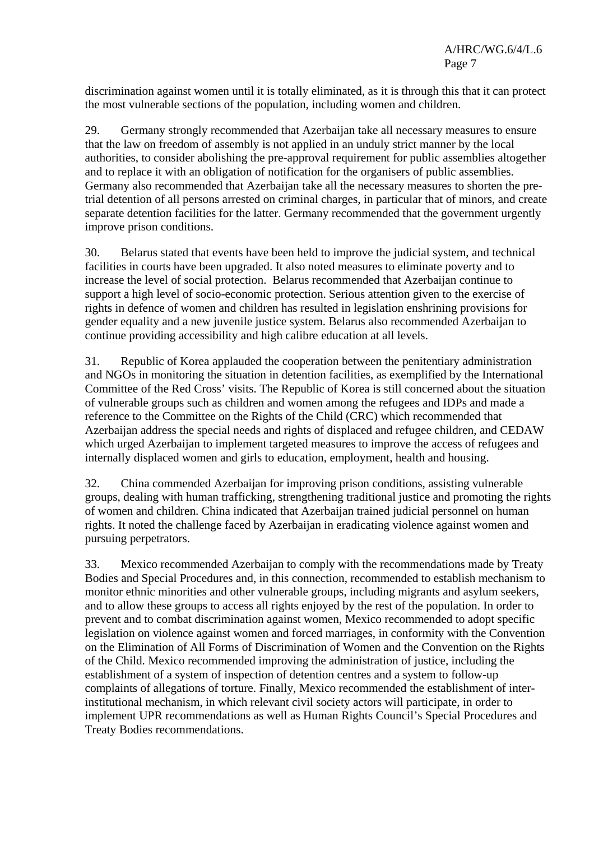discrimination against women until it is totally eliminated, as it is through this that it can protect the most vulnerable sections of the population, including women and children.

29. Germany strongly recommended that Azerbaijan take all necessary measures to ensure that the law on freedom of assembly is not applied in an unduly strict manner by the local authorities, to consider abolishing the pre-approval requirement for public assemblies altogether and to replace it with an obligation of notification for the organisers of public assemblies. Germany also recommended that Azerbaijan take all the necessary measures to shorten the pretrial detention of all persons arrested on criminal charges, in particular that of minors, and create separate detention facilities for the latter. Germany recommended that the government urgently improve prison conditions.

30. Belarus stated that events have been held to improve the judicial system, and technical facilities in courts have been upgraded. It also noted measures to eliminate poverty and to increase the level of social protection. Belarus recommended that Azerbaijan continue to support a high level of socio-economic protection. Serious attention given to the exercise of rights in defence of women and children has resulted in legislation enshrining provisions for gender equality and a new juvenile justice system. Belarus also recommended Azerbaijan to continue providing accessibility and high calibre education at all levels.

31. Republic of Korea applauded the cooperation between the penitentiary administration and NGOs in monitoring the situation in detention facilities, as exemplified by the International Committee of the Red Cross' visits. The Republic of Korea is still concerned about the situation of vulnerable groups such as children and women among the refugees and IDPs and made a reference to the Committee on the Rights of the Child (CRC) which recommended that Azerbaijan address the special needs and rights of displaced and refugee children, and CEDAW which urged Azerbaijan to implement targeted measures to improve the access of refugees and internally displaced women and girls to education, employment, health and housing.

32. China commended Azerbaijan for improving prison conditions, assisting vulnerable groups, dealing with human trafficking, strengthening traditional justice and promoting the rights of women and children. China indicated that Azerbaijan trained judicial personnel on human rights. It noted the challenge faced by Azerbaijan in eradicating violence against women and pursuing perpetrators.

33. Mexico recommended Azerbaijan to comply with the recommendations made by Treaty Bodies and Special Procedures and, in this connection, recommended to establish mechanism to monitor ethnic minorities and other vulnerable groups, including migrants and asylum seekers, and to allow these groups to access all rights enjoyed by the rest of the population. In order to prevent and to combat discrimination against women, Mexico recommended to adopt specific legislation on violence against women and forced marriages, in conformity with the Convention on the Elimination of All Forms of Discrimination of Women and the Convention on the Rights of the Child. Mexico recommended improving the administration of justice, including the establishment of a system of inspection of detention centres and a system to follow-up complaints of allegations of torture. Finally, Mexico recommended the establishment of interinstitutional mechanism, in which relevant civil society actors will participate, in order to implement UPR recommendations as well as Human Rights Council's Special Procedures and Treaty Bodies recommendations.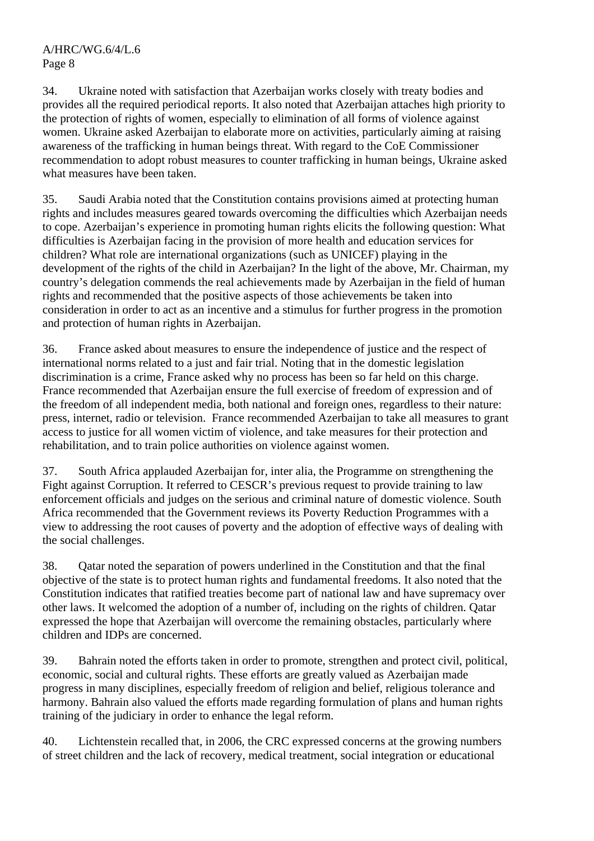34. Ukraine noted with satisfaction that Azerbaijan works closely with treaty bodies and provides all the required periodical reports. It also noted that Azerbaijan attaches high priority to the protection of rights of women, especially to elimination of all forms of violence against women. Ukraine asked Azerbaijan to elaborate more on activities, particularly aiming at raising awareness of the trafficking in human beings threat. With regard to the CoE Commissioner recommendation to adopt robust measures to counter trafficking in human beings, Ukraine asked what measures have been taken.

35. Saudi Arabia noted that the Constitution contains provisions aimed at protecting human rights and includes measures geared towards overcoming the difficulties which Azerbaijan needs to cope. Azerbaijan's experience in promoting human rights elicits the following question: What difficulties is Azerbaijan facing in the provision of more health and education services for children? What role are international organizations (such as UNICEF) playing in the development of the rights of the child in Azerbaijan? In the light of the above, Mr. Chairman, my country's delegation commends the real achievements made by Azerbaijan in the field of human rights and recommended that the positive aspects of those achievements be taken into consideration in order to act as an incentive and a stimulus for further progress in the promotion and protection of human rights in Azerbaijan.

36. France asked about measures to ensure the independence of justice and the respect of international norms related to a just and fair trial. Noting that in the domestic legislation discrimination is a crime, France asked why no process has been so far held on this charge. France recommended that Azerbaijan ensure the full exercise of freedom of expression and of the freedom of all independent media, both national and foreign ones, regardless to their nature: press, internet, radio or television. France recommended Azerbaijan to take all measures to grant access to justice for all women victim of violence, and take measures for their protection and rehabilitation, and to train police authorities on violence against women.

37. South Africa applauded Azerbaijan for, inter alia, the Programme on strengthening the Fight against Corruption. It referred to CESCR's previous request to provide training to law enforcement officials and judges on the serious and criminal nature of domestic violence. South Africa recommended that the Government reviews its Poverty Reduction Programmes with a view to addressing the root causes of poverty and the adoption of effective ways of dealing with the social challenges.

38. Qatar noted the separation of powers underlined in the Constitution and that the final objective of the state is to protect human rights and fundamental freedoms. It also noted that the Constitution indicates that ratified treaties become part of national law and have supremacy over other laws. It welcomed the adoption of a number of, including on the rights of children. Qatar expressed the hope that Azerbaijan will overcome the remaining obstacles, particularly where children and IDPs are concerned.

39. Bahrain noted the efforts taken in order to promote, strengthen and protect civil, political, economic, social and cultural rights. These efforts are greatly valued as Azerbaijan made progress in many disciplines, especially freedom of religion and belief, religious tolerance and harmony. Bahrain also valued the efforts made regarding formulation of plans and human rights training of the judiciary in order to enhance the legal reform.

40. Lichtenstein recalled that, in 2006, the CRC expressed concerns at the growing numbers of street children and the lack of recovery, medical treatment, social integration or educational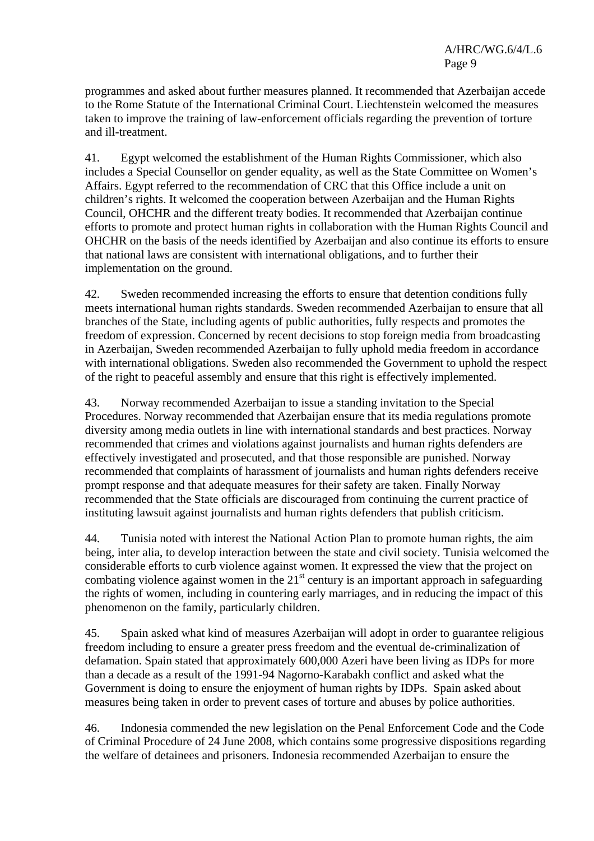programmes and asked about further measures planned. It recommended that Azerbaijan accede to the Rome Statute of the International Criminal Court. Liechtenstein welcomed the measures taken to improve the training of law-enforcement officials regarding the prevention of torture and ill-treatment.

41. Egypt welcomed the establishment of the Human Rights Commissioner, which also includes a Special Counsellor on gender equality, as well as the State Committee on Women's Affairs. Egypt referred to the recommendation of CRC that this Office include a unit on children's rights. It welcomed the cooperation between Azerbaijan and the Human Rights Council, OHCHR and the different treaty bodies. It recommended that Azerbaijan continue efforts to promote and protect human rights in collaboration with the Human Rights Council and OHCHR on the basis of the needs identified by Azerbaijan and also continue its efforts to ensure that national laws are consistent with international obligations, and to further their implementation on the ground.

42. Sweden recommended increasing the efforts to ensure that detention conditions fully meets international human rights standards. Sweden recommended Azerbaijan to ensure that all branches of the State, including agents of public authorities, fully respects and promotes the freedom of expression. Concerned by recent decisions to stop foreign media from broadcasting in Azerbaijan, Sweden recommended Azerbaijan to fully uphold media freedom in accordance with international obligations. Sweden also recommended the Government to uphold the respect of the right to peaceful assembly and ensure that this right is effectively implemented.

43. Norway recommended Azerbaijan to issue a standing invitation to the Special Procedures. Norway recommended that Azerbaijan ensure that its media regulations promote diversity among media outlets in line with international standards and best practices. Norway recommended that crimes and violations against journalists and human rights defenders are effectively investigated and prosecuted, and that those responsible are punished. Norway recommended that complaints of harassment of journalists and human rights defenders receive prompt response and that adequate measures for their safety are taken. Finally Norway recommended that the State officials are discouraged from continuing the current practice of instituting lawsuit against journalists and human rights defenders that publish criticism.

44. Tunisia noted with interest the National Action Plan to promote human rights, the aim being, inter alia, to develop interaction between the state and civil society. Tunisia welcomed the considerable efforts to curb violence against women. It expressed the view that the project on combating violence against women in the  $21<sup>st</sup>$  century is an important approach in safeguarding the rights of women, including in countering early marriages, and in reducing the impact of this phenomenon on the family, particularly children.

45. Spain asked what kind of measures Azerbaijan will adopt in order to guarantee religious freedom including to ensure a greater press freedom and the eventual de-criminalization of defamation. Spain stated that approximately 600,000 Azeri have been living as IDPs for more than a decade as a result of the 1991-94 Nagorno-Karabakh conflict and asked what the Government is doing to ensure the enjoyment of human rights by IDPs. Spain asked about measures being taken in order to prevent cases of torture and abuses by police authorities.

46. Indonesia commended the new legislation on the Penal Enforcement Code and the Code of Criminal Procedure of 24 June 2008, which contains some progressive dispositions regarding the welfare of detainees and prisoners. Indonesia recommended Azerbaijan to ensure the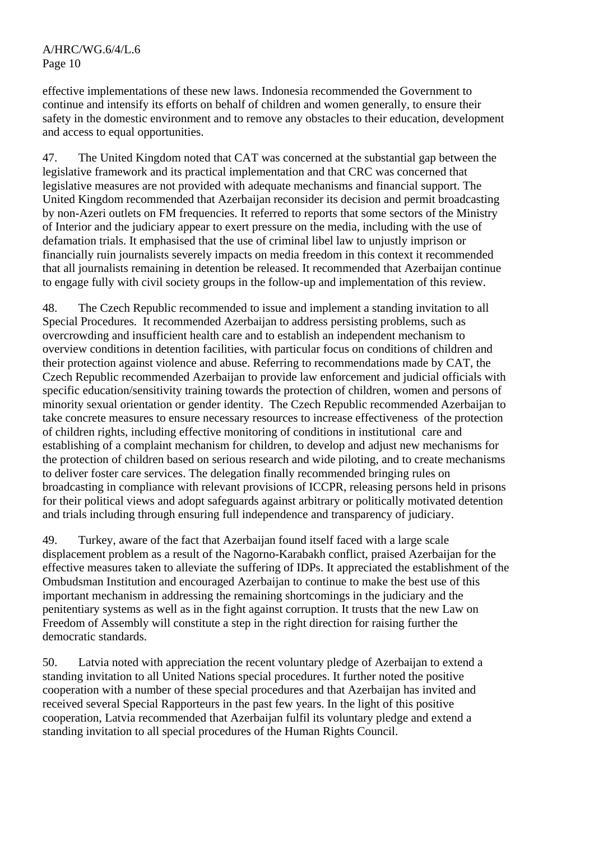effective implementations of these new laws. Indonesia recommended the Government to continue and intensify its efforts on behalf of children and women generally, to ensure their safety in the domestic environment and to remove any obstacles to their education, development and access to equal opportunities.

47. The United Kingdom noted that CAT was concerned at the substantial gap between the legislative framework and its practical implementation and that CRC was concerned that legislative measures are not provided with adequate mechanisms and financial support. The United Kingdom recommended that Azerbaijan reconsider its decision and permit broadcasting by non-Azeri outlets on FM frequencies. It referred to reports that some sectors of the Ministry of Interior and the judiciary appear to exert pressure on the media, including with the use of defamation trials. It emphasised that the use of criminal libel law to unjustly imprison or financially ruin journalists severely impacts on media freedom in this context it recommended that all journalists remaining in detention be released. It recommended that Azerbaijan continue to engage fully with civil society groups in the follow-up and implementation of this review.

48. The Czech Republic recommended to issue and implement a standing invitation to all Special Procedures. It recommended Azerbaijan to address persisting problems, such as overcrowding and insufficient health care and to establish an independent mechanism to overview conditions in detention facilities, with particular focus on conditions of children and their protection against violence and abuse. Referring to recommendations made by CAT, the Czech Republic recommended Azerbaijan to provide law enforcement and judicial officials with specific education/sensitivity training towards the protection of children, women and persons of minority sexual orientation or gender identity. The Czech Republic recommended Azerbaijan to take concrete measures to ensure necessary resources to increase effectiveness of the protection of children rights, including effective monitoring of conditions in institutional care and establishing of a complaint mechanism for children, to develop and adjust new mechanisms for the protection of children based on serious research and wide piloting, and to create mechanisms to deliver foster care services. The delegation finally recommended bringing rules on broadcasting in compliance with relevant provisions of ICCPR, releasing persons held in prisons for their political views and adopt safeguards against arbitrary or politically motivated detention and trials including through ensuring full independence and transparency of judiciary.

49. Turkey, aware of the fact that Azerbaijan found itself faced with a large scale displacement problem as a result of the Nagorno-Karabakh conflict, praised Azerbaijan for the effective measures taken to alleviate the suffering of IDPs. It appreciated the establishment of the Ombudsman Institution and encouraged Azerbaijan to continue to make the best use of this important mechanism in addressing the remaining shortcomings in the judiciary and the penitentiary systems as well as in the fight against corruption. It trusts that the new Law on Freedom of Assembly will constitute a step in the right direction for raising further the democratic standards.

50. Latvia noted with appreciation the recent voluntary pledge of Azerbaijan to extend a standing invitation to all United Nations special procedures. It further noted the positive cooperation with a number of these special procedures and that Azerbaijan has invited and received several Special Rapporteurs in the past few years. In the light of this positive cooperation, Latvia recommended that Azerbaijan fulfil its voluntary pledge and extend a standing invitation to all special procedures of the Human Rights Council.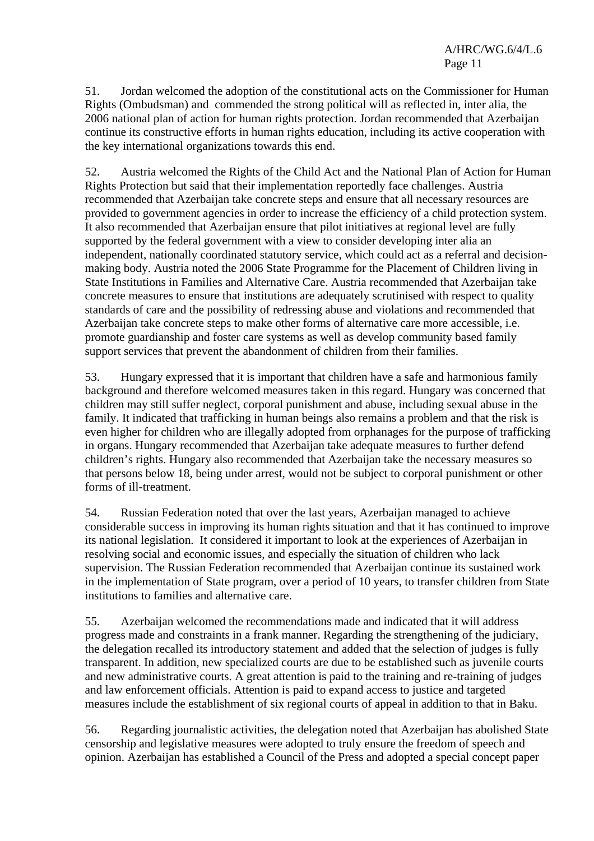51. Jordan welcomed the adoption of the constitutional acts on the Commissioner for Human Rights (Ombudsman) and commended the strong political will as reflected in, inter alia, the 2006 national plan of action for human rights protection. Jordan recommended that Azerbaijan continue its constructive efforts in human rights education, including its active cooperation with the key international organizations towards this end.

52. Austria welcomed the Rights of the Child Act and the National Plan of Action for Human Rights Protection but said that their implementation reportedly face challenges. Austria recommended that Azerbaijan take concrete steps and ensure that all necessary resources are provided to government agencies in order to increase the efficiency of a child protection system. It also recommended that Azerbaijan ensure that pilot initiatives at regional level are fully supported by the federal government with a view to consider developing inter alia an independent, nationally coordinated statutory service, which could act as a referral and decisionmaking body. Austria noted the 2006 State Programme for the Placement of Children living in State Institutions in Families and Alternative Care. Austria recommended that Azerbaijan take concrete measures to ensure that institutions are adequately scrutinised with respect to quality standards of care and the possibility of redressing abuse and violations and recommended that Azerbaijan take concrete steps to make other forms of alternative care more accessible, i.e. promote guardianship and foster care systems as well as develop community based family support services that prevent the abandonment of children from their families.

53. Hungary expressed that it is important that children have a safe and harmonious family background and therefore welcomed measures taken in this regard. Hungary was concerned that children may still suffer neglect, corporal punishment and abuse, including sexual abuse in the family. It indicated that trafficking in human beings also remains a problem and that the risk is even higher for children who are illegally adopted from orphanages for the purpose of trafficking in organs. Hungary recommended that Azerbaijan take adequate measures to further defend children's rights. Hungary also recommended that Azerbaijan take the necessary measures so that persons below 18, being under arrest, would not be subject to corporal punishment or other forms of ill-treatment.

54. Russian Federation noted that over the last years, Azerbaijan managed to achieve considerable success in improving its human rights situation and that it has continued to improve its national legislation. It considered it important to look at the experiences of Azerbaijan in resolving social and economic issues, and especially the situation of children who lack supervision. The Russian Federation recommended that Azerbaijan continue its sustained work in the implementation of State program, over a period of 10 years, to transfer children from State institutions to families and alternative care.

55. Azerbaijan welcomed the recommendations made and indicated that it will address progress made and constraints in a frank manner. Regarding the strengthening of the judiciary, the delegation recalled its introductory statement and added that the selection of judges is fully transparent. In addition, new specialized courts are due to be established such as juvenile courts and new administrative courts. A great attention is paid to the training and re-training of judges and law enforcement officials. Attention is paid to expand access to justice and targeted measures include the establishment of six regional courts of appeal in addition to that in Baku.

56. Regarding journalistic activities, the delegation noted that Azerbaijan has abolished State censorship and legislative measures were adopted to truly ensure the freedom of speech and opinion. Azerbaijan has established a Council of the Press and adopted a special concept paper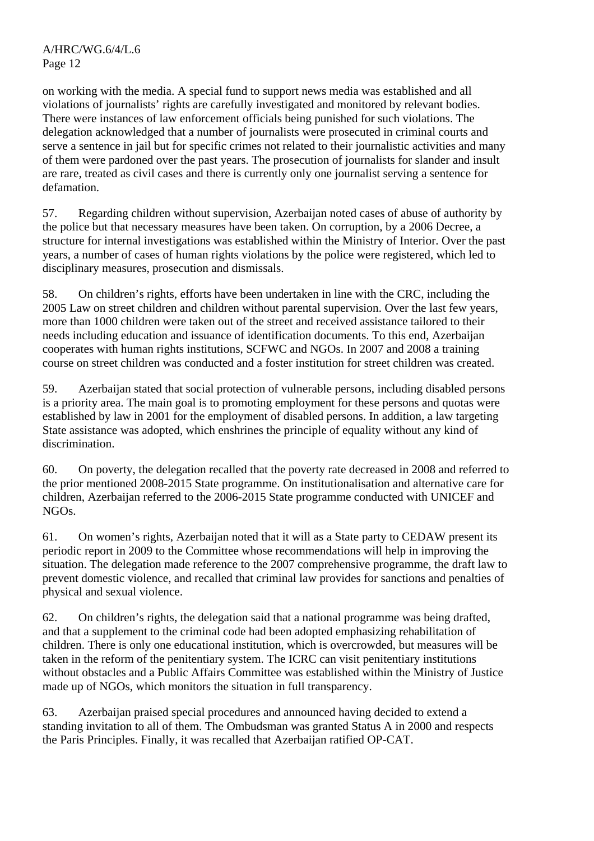on working with the media. A special fund to support news media was established and all violations of journalists' rights are carefully investigated and monitored by relevant bodies. There were instances of law enforcement officials being punished for such violations. The delegation acknowledged that a number of journalists were prosecuted in criminal courts and serve a sentence in jail but for specific crimes not related to their journalistic activities and many of them were pardoned over the past years. The prosecution of journalists for slander and insult are rare, treated as civil cases and there is currently only one journalist serving a sentence for defamation.

57. Regarding children without supervision, Azerbaijan noted cases of abuse of authority by the police but that necessary measures have been taken. On corruption, by a 2006 Decree, a structure for internal investigations was established within the Ministry of Interior. Over the past years, a number of cases of human rights violations by the police were registered, which led to disciplinary measures, prosecution and dismissals.

58. On children's rights, efforts have been undertaken in line with the CRC, including the 2005 Law on street children and children without parental supervision. Over the last few years, more than 1000 children were taken out of the street and received assistance tailored to their needs including education and issuance of identification documents. To this end, Azerbaijan cooperates with human rights institutions, SCFWC and NGOs. In 2007 and 2008 a training course on street children was conducted and a foster institution for street children was created.

59. Azerbaijan stated that social protection of vulnerable persons, including disabled persons is a priority area. The main goal is to promoting employment for these persons and quotas were established by law in 2001 for the employment of disabled persons. In addition, a law targeting State assistance was adopted, which enshrines the principle of equality without any kind of discrimination.

60. On poverty, the delegation recalled that the poverty rate decreased in 2008 and referred to the prior mentioned 2008-2015 State programme. On institutionalisation and alternative care for children, Azerbaijan referred to the 2006-2015 State programme conducted with UNICEF and NGOs.

61. On women's rights, Azerbaijan noted that it will as a State party to CEDAW present its periodic report in 2009 to the Committee whose recommendations will help in improving the situation. The delegation made reference to the 2007 comprehensive programme, the draft law to prevent domestic violence, and recalled that criminal law provides for sanctions and penalties of physical and sexual violence.

62. On children's rights, the delegation said that a national programme was being drafted, and that a supplement to the criminal code had been adopted emphasizing rehabilitation of children. There is only one educational institution, which is overcrowded, but measures will be taken in the reform of the penitentiary system. The ICRC can visit penitentiary institutions without obstacles and a Public Affairs Committee was established within the Ministry of Justice made up of NGOs, which monitors the situation in full transparency.

63. Azerbaijan praised special procedures and announced having decided to extend a standing invitation to all of them. The Ombudsman was granted Status A in 2000 and respects the Paris Principles. Finally, it was recalled that Azerbaijan ratified OP-CAT.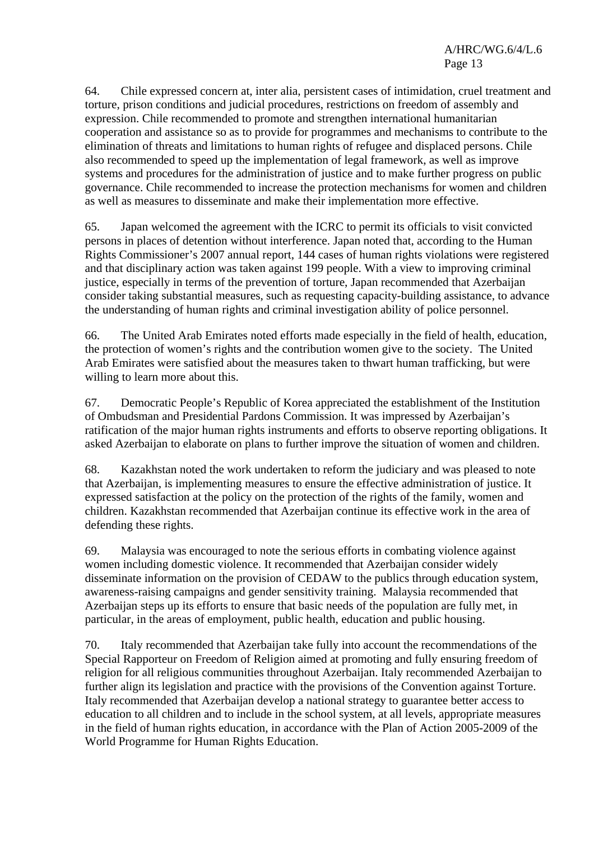64. Chile expressed concern at, inter alia, persistent cases of intimidation, cruel treatment and torture, prison conditions and judicial procedures, restrictions on freedom of assembly and expression. Chile recommended to promote and strengthen international humanitarian cooperation and assistance so as to provide for programmes and mechanisms to contribute to the elimination of threats and limitations to human rights of refugee and displaced persons. Chile also recommended to speed up the implementation of legal framework, as well as improve systems and procedures for the administration of justice and to make further progress on public governance. Chile recommended to increase the protection mechanisms for women and children as well as measures to disseminate and make their implementation more effective.

65. Japan welcomed the agreement with the ICRC to permit its officials to visit convicted persons in places of detention without interference. Japan noted that, according to the Human Rights Commissioner's 2007 annual report, 144 cases of human rights violations were registered and that disciplinary action was taken against 199 people. With a view to improving criminal justice, especially in terms of the prevention of torture, Japan recommended that Azerbaijan consider taking substantial measures, such as requesting capacity-building assistance, to advance the understanding of human rights and criminal investigation ability of police personnel.

66. The United Arab Emirates noted efforts made especially in the field of health, education, the protection of women's rights and the contribution women give to the society. The United Arab Emirates were satisfied about the measures taken to thwart human trafficking, but were willing to learn more about this.

67. Democratic People's Republic of Korea appreciated the establishment of the Institution of Ombudsman and Presidential Pardons Commission. It was impressed by Azerbaijan's ratification of the major human rights instruments and efforts to observe reporting obligations. It asked Azerbaijan to elaborate on plans to further improve the situation of women and children.

68. Kazakhstan noted the work undertaken to reform the judiciary and was pleased to note that Azerbaijan, is implementing measures to ensure the effective administration of justice. It expressed satisfaction at the policy on the protection of the rights of the family, women and children. Kazakhstan recommended that Azerbaijan continue its effective work in the area of defending these rights.

69. Malaysia was encouraged to note the serious efforts in combating violence against women including domestic violence. It recommended that Azerbaijan consider widely disseminate information on the provision of CEDAW to the publics through education system, awareness-raising campaigns and gender sensitivity training. Malaysia recommended that Azerbaijan steps up its efforts to ensure that basic needs of the population are fully met, in particular, in the areas of employment, public health, education and public housing.

70. Italy recommended that Azerbaijan take fully into account the recommendations of the Special Rapporteur on Freedom of Religion aimed at promoting and fully ensuring freedom of religion for all religious communities throughout Azerbaijan. Italy recommended Azerbaijan to further align its legislation and practice with the provisions of the Convention against Torture. Italy recommended that Azerbaijan develop a national strategy to guarantee better access to education to all children and to include in the school system, at all levels, appropriate measures in the field of human rights education, in accordance with the Plan of Action 2005-2009 of the World Programme for Human Rights Education.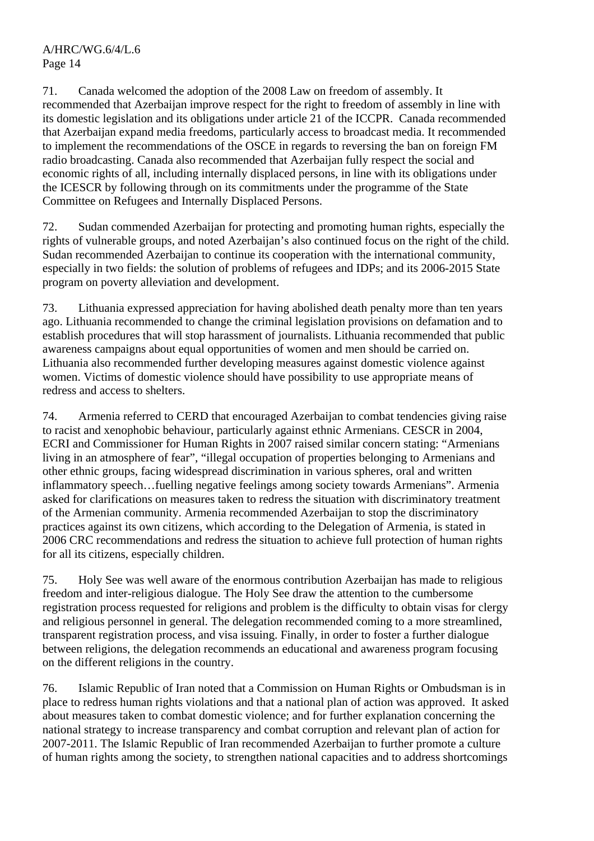71. Canada welcomed the adoption of the 2008 Law on freedom of assembly. It recommended that Azerbaijan improve respect for the right to freedom of assembly in line with its domestic legislation and its obligations under article 21 of the ICCPR. Canada recommended that Azerbaijan expand media freedoms, particularly access to broadcast media. It recommended to implement the recommendations of the OSCE in regards to reversing the ban on foreign FM radio broadcasting. Canada also recommended that Azerbaijan fully respect the social and economic rights of all, including internally displaced persons, in line with its obligations under the ICESCR by following through on its commitments under the programme of the State Committee on Refugees and Internally Displaced Persons.

72. Sudan commended Azerbaijan for protecting and promoting human rights, especially the rights of vulnerable groups, and noted Azerbaijan's also continued focus on the right of the child. Sudan recommended Azerbaijan to continue its cooperation with the international community, especially in two fields: the solution of problems of refugees and IDPs; and its 2006-2015 State program on poverty alleviation and development.

73. Lithuania expressed appreciation for having abolished death penalty more than ten years ago. Lithuania recommended to change the criminal legislation provisions on defamation and to establish procedures that will stop harassment of journalists. Lithuania recommended that public awareness campaigns about equal opportunities of women and men should be carried on. Lithuania also recommended further developing measures against domestic violence against women. Victims of domestic violence should have possibility to use appropriate means of redress and access to shelters.

74. Armenia referred to CERD that encouraged Azerbaijan to combat tendencies giving raise to racist and xenophobic behaviour, particularly against ethnic Armenians. CESCR in 2004, ECRI and Commissioner for Human Rights in 2007 raised similar concern stating: "Armenians living in an atmosphere of fear", "illegal occupation of properties belonging to Armenians and other ethnic groups, facing widespread discrimination in various spheres, oral and written inflammatory speech…fuelling negative feelings among society towards Armenians". Armenia asked for clarifications on measures taken to redress the situation with discriminatory treatment of the Armenian community. Armenia recommended Azerbaijan to stop the discriminatory practices against its own citizens, which according to the Delegation of Armenia, is stated in 2006 CRC recommendations and redress the situation to achieve full protection of human rights for all its citizens, especially children.

75. Holy See was well aware of the enormous contribution Azerbaijan has made to religious freedom and inter-religious dialogue. The Holy See draw the attention to the cumbersome registration process requested for religions and problem is the difficulty to obtain visas for clergy and religious personnel in general. The delegation recommended coming to a more streamlined, transparent registration process, and visa issuing. Finally, in order to foster a further dialogue between religions, the delegation recommends an educational and awareness program focusing on the different religions in the country.

76. Islamic Republic of Iran noted that a Commission on Human Rights or Ombudsman is in place to redress human rights violations and that a national plan of action was approved. It asked about measures taken to combat domestic violence; and for further explanation concerning the national strategy to increase transparency and combat corruption and relevant plan of action for 2007-2011. The Islamic Republic of Iran recommended Azerbaijan to further promote a culture of human rights among the society, to strengthen national capacities and to address shortcomings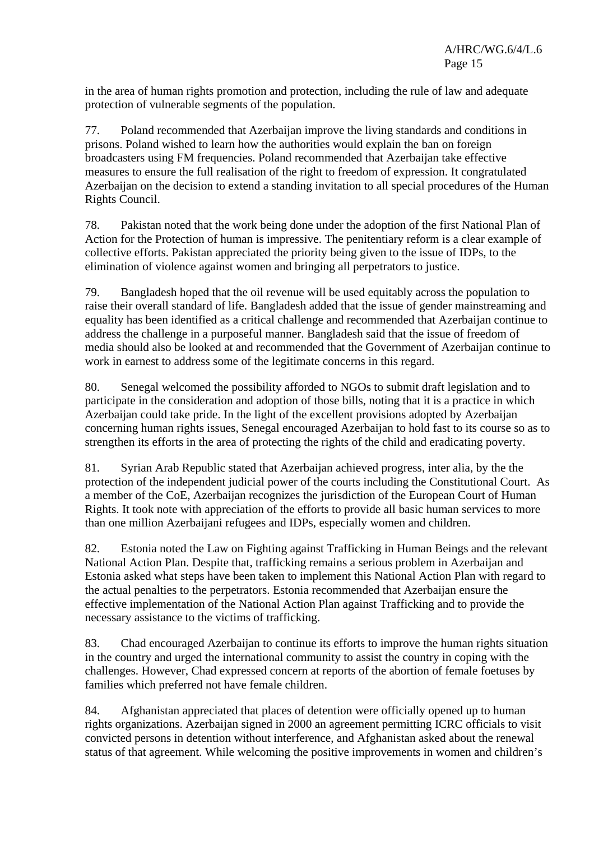in the area of human rights promotion and protection, including the rule of law and adequate protection of vulnerable segments of the population.

77. Poland recommended that Azerbaijan improve the living standards and conditions in prisons. Poland wished to learn how the authorities would explain the ban on foreign broadcasters using FM frequencies. Poland recommended that Azerbaijan take effective measures to ensure the full realisation of the right to freedom of expression. It congratulated Azerbaijan on the decision to extend a standing invitation to all special procedures of the Human Rights Council.

78. Pakistan noted that the work being done under the adoption of the first National Plan of Action for the Protection of human is impressive. The penitentiary reform is a clear example of collective efforts. Pakistan appreciated the priority being given to the issue of IDPs, to the elimination of violence against women and bringing all perpetrators to justice.

79. Bangladesh hoped that the oil revenue will be used equitably across the population to raise their overall standard of life. Bangladesh added that the issue of gender mainstreaming and equality has been identified as a critical challenge and recommended that Azerbaijan continue to address the challenge in a purposeful manner. Bangladesh said that the issue of freedom of media should also be looked at and recommended that the Government of Azerbaijan continue to work in earnest to address some of the legitimate concerns in this regard.

80. Senegal welcomed the possibility afforded to NGOs to submit draft legislation and to participate in the consideration and adoption of those bills, noting that it is a practice in which Azerbaijan could take pride. In the light of the excellent provisions adopted by Azerbaijan concerning human rights issues, Senegal encouraged Azerbaijan to hold fast to its course so as to strengthen its efforts in the area of protecting the rights of the child and eradicating poverty.

81. Syrian Arab Republic stated that Azerbaijan achieved progress, inter alia, by the the protection of the independent judicial power of the courts including the Constitutional Court. As a member of the CoE, Azerbaijan recognizes the jurisdiction of the European Court of Human Rights. It took note with appreciation of the efforts to provide all basic human services to more than one million Azerbaijani refugees and IDPs, especially women and children.

82. Estonia noted the Law on Fighting against Trafficking in Human Beings and the relevant National Action Plan. Despite that, trafficking remains a serious problem in Azerbaijan and Estonia asked what steps have been taken to implement this National Action Plan with regard to the actual penalties to the perpetrators. Estonia recommended that Azerbaijan ensure the effective implementation of the National Action Plan against Trafficking and to provide the necessary assistance to the victims of trafficking.

83. Chad encouraged Azerbaijan to continue its efforts to improve the human rights situation in the country and urged the international community to assist the country in coping with the challenges. However, Chad expressed concern at reports of the abortion of female foetuses by families which preferred not have female children.

84. Afghanistan appreciated that places of detention were officially opened up to human rights organizations. Azerbaijan signed in 2000 an agreement permitting ICRC officials to visit convicted persons in detention without interference, and Afghanistan asked about the renewal status of that agreement. While welcoming the positive improvements in women and children's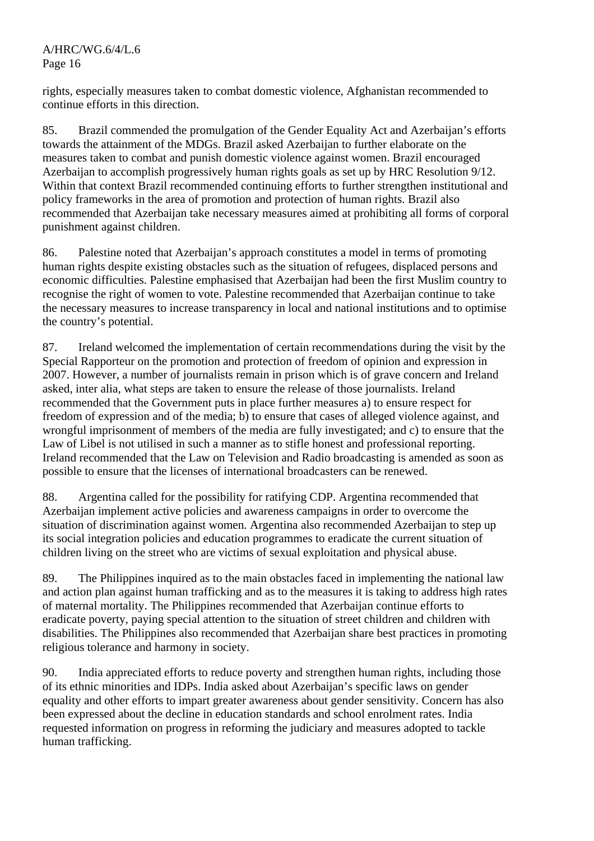A/HRC/WG.6/4/L.6 Page 16

rights, especially measures taken to combat domestic violence, Afghanistan recommended to continue efforts in this direction.

85. Brazil commended the promulgation of the Gender Equality Act and Azerbaijan's efforts towards the attainment of the MDGs. Brazil asked Azerbaijan to further elaborate on the measures taken to combat and punish domestic violence against women. Brazil encouraged Azerbaijan to accomplish progressively human rights goals as set up by HRC Resolution 9/12. Within that context Brazil recommended continuing efforts to further strengthen institutional and policy frameworks in the area of promotion and protection of human rights. Brazil also recommended that Azerbaijan take necessary measures aimed at prohibiting all forms of corporal punishment against children.

86. Palestine noted that Azerbaijan's approach constitutes a model in terms of promoting human rights despite existing obstacles such as the situation of refugees, displaced persons and economic difficulties. Palestine emphasised that Azerbaijan had been the first Muslim country to recognise the right of women to vote. Palestine recommended that Azerbaijan continue to take the necessary measures to increase transparency in local and national institutions and to optimise the country's potential.

87. Ireland welcomed the implementation of certain recommendations during the visit by the Special Rapporteur on the promotion and protection of freedom of opinion and expression in 2007. However, a number of journalists remain in prison which is of grave concern and Ireland asked, inter alia, what steps are taken to ensure the release of those journalists. Ireland recommended that the Government puts in place further measures a) to ensure respect for freedom of expression and of the media; b) to ensure that cases of alleged violence against, and wrongful imprisonment of members of the media are fully investigated; and c) to ensure that the Law of Libel is not utilised in such a manner as to stifle honest and professional reporting. Ireland recommended that the Law on Television and Radio broadcasting is amended as soon as possible to ensure that the licenses of international broadcasters can be renewed.

88. Argentina called for the possibility for ratifying CDP. Argentina recommended that Azerbaijan implement active policies and awareness campaigns in order to overcome the situation of discrimination against women. Argentina also recommended Azerbaijan to step up its social integration policies and education programmes to eradicate the current situation of children living on the street who are victims of sexual exploitation and physical abuse.

89. The Philippines inquired as to the main obstacles faced in implementing the national law and action plan against human trafficking and as to the measures it is taking to address high rates of maternal mortality. The Philippines recommended that Azerbaijan continue efforts to eradicate poverty, paying special attention to the situation of street children and children with disabilities. The Philippines also recommended that Azerbaijan share best practices in promoting religious tolerance and harmony in society.

90. India appreciated efforts to reduce poverty and strengthen human rights, including those of its ethnic minorities and IDPs. India asked about Azerbaijan's specific laws on gender equality and other efforts to impart greater awareness about gender sensitivity. Concern has also been expressed about the decline in education standards and school enrolment rates. India requested information on progress in reforming the judiciary and measures adopted to tackle human trafficking.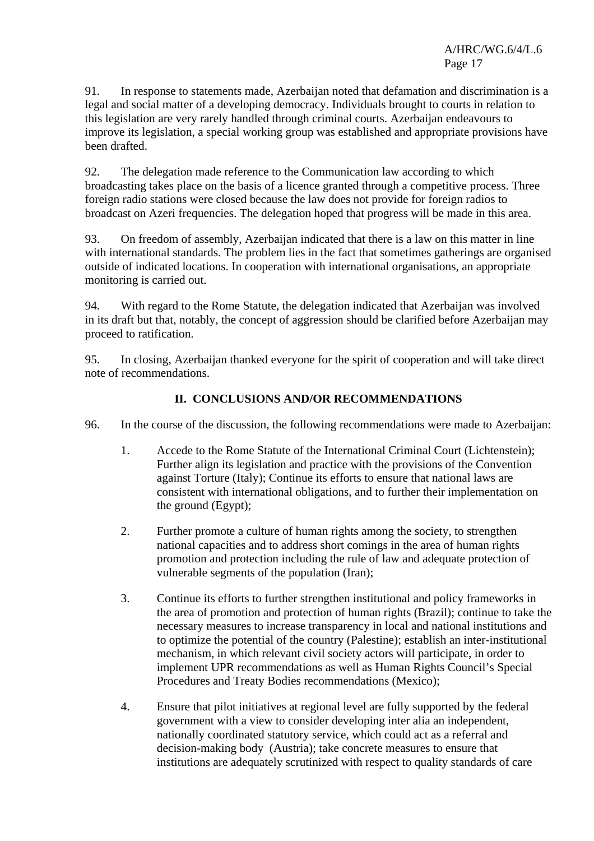91. In response to statements made, Azerbaijan noted that defamation and discrimination is a legal and social matter of a developing democracy. Individuals brought to courts in relation to this legislation are very rarely handled through criminal courts. Azerbaijan endeavours to improve its legislation, a special working group was established and appropriate provisions have been drafted.

92. The delegation made reference to the Communication law according to which broadcasting takes place on the basis of a licence granted through a competitive process. Three foreign radio stations were closed because the law does not provide for foreign radios to broadcast on Azeri frequencies. The delegation hoped that progress will be made in this area.

93. On freedom of assembly, Azerbaijan indicated that there is a law on this matter in line with international standards. The problem lies in the fact that sometimes gatherings are organised outside of indicated locations. In cooperation with international organisations, an appropriate monitoring is carried out.

94. With regard to the Rome Statute, the delegation indicated that Azerbaijan was involved in its draft but that, notably, the concept of aggression should be clarified before Azerbaijan may proceed to ratification.

95. In closing, Azerbaijan thanked everyone for the spirit of cooperation and will take direct note of recommendations.

# **II. CONCLUSIONS AND/OR RECOMMENDATIONS**

- 96. In the course of the discussion, the following recommendations were made to Azerbaijan:
	- 1. Accede to the Rome Statute of the International Criminal Court (Lichtenstein); Further align its legislation and practice with the provisions of the Convention against Torture (Italy); Continue its efforts to ensure that national laws are consistent with international obligations, and to further their implementation on the ground (Egypt);
	- 2. Further promote a culture of human rights among the society, to strengthen national capacities and to address short comings in the area of human rights promotion and protection including the rule of law and adequate protection of vulnerable segments of the population (Iran);
	- 3. Continue its efforts to further strengthen institutional and policy frameworks in the area of promotion and protection of human rights (Brazil); continue to take the necessary measures to increase transparency in local and national institutions and to optimize the potential of the country (Palestine); establish an inter-institutional mechanism, in which relevant civil society actors will participate, in order to implement UPR recommendations as well as Human Rights Council's Special Procedures and Treaty Bodies recommendations (Mexico);
	- 4. Ensure that pilot initiatives at regional level are fully supported by the federal government with a view to consider developing inter alia an independent, nationally coordinated statutory service, which could act as a referral and decision-making body (Austria); take concrete measures to ensure that institutions are adequately scrutinized with respect to quality standards of care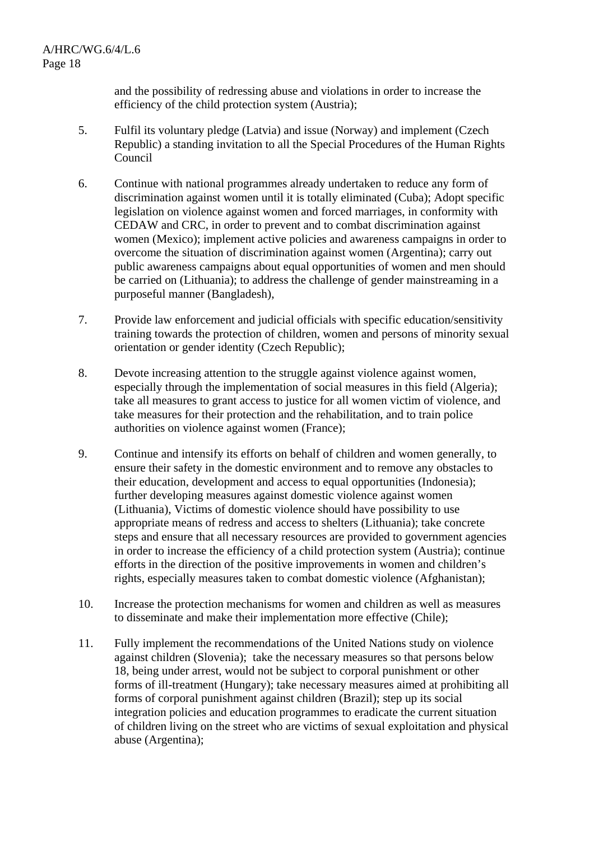and the possibility of redressing abuse and violations in order to increase the efficiency of the child protection system (Austria);

- 5. Fulfil its voluntary pledge (Latvia) and issue (Norway) and implement (Czech Republic) a standing invitation to all the Special Procedures of the Human Rights Council
- 6. Continue with national programmes already undertaken to reduce any form of discrimination against women until it is totally eliminated (Cuba); Adopt specific legislation on violence against women and forced marriages, in conformity with CEDAW and CRC, in order to prevent and to combat discrimination against women (Mexico); implement active policies and awareness campaigns in order to overcome the situation of discrimination against women (Argentina); carry out public awareness campaigns about equal opportunities of women and men should be carried on (Lithuania); to address the challenge of gender mainstreaming in a purposeful manner (Bangladesh),
- 7. Provide law enforcement and judicial officials with specific education/sensitivity training towards the protection of children, women and persons of minority sexual orientation or gender identity (Czech Republic);
- 8. Devote increasing attention to the struggle against violence against women, especially through the implementation of social measures in this field (Algeria); take all measures to grant access to justice for all women victim of violence, and take measures for their protection and the rehabilitation, and to train police authorities on violence against women (France);
- 9. Continue and intensify its efforts on behalf of children and women generally, to ensure their safety in the domestic environment and to remove any obstacles to their education, development and access to equal opportunities (Indonesia); further developing measures against domestic violence against women (Lithuania), Victims of domestic violence should have possibility to use appropriate means of redress and access to shelters (Lithuania); take concrete steps and ensure that all necessary resources are provided to government agencies in order to increase the efficiency of a child protection system (Austria); continue efforts in the direction of the positive improvements in women and children's rights, especially measures taken to combat domestic violence (Afghanistan);
- 10. Increase the protection mechanisms for women and children as well as measures to disseminate and make their implementation more effective (Chile);
- 11. Fully implement the recommendations of the United Nations study on violence against children (Slovenia); take the necessary measures so that persons below 18, being under arrest, would not be subject to corporal punishment or other forms of ill-treatment (Hungary); take necessary measures aimed at prohibiting all forms of corporal punishment against children (Brazil); step up its social integration policies and education programmes to eradicate the current situation of children living on the street who are victims of sexual exploitation and physical abuse (Argentina);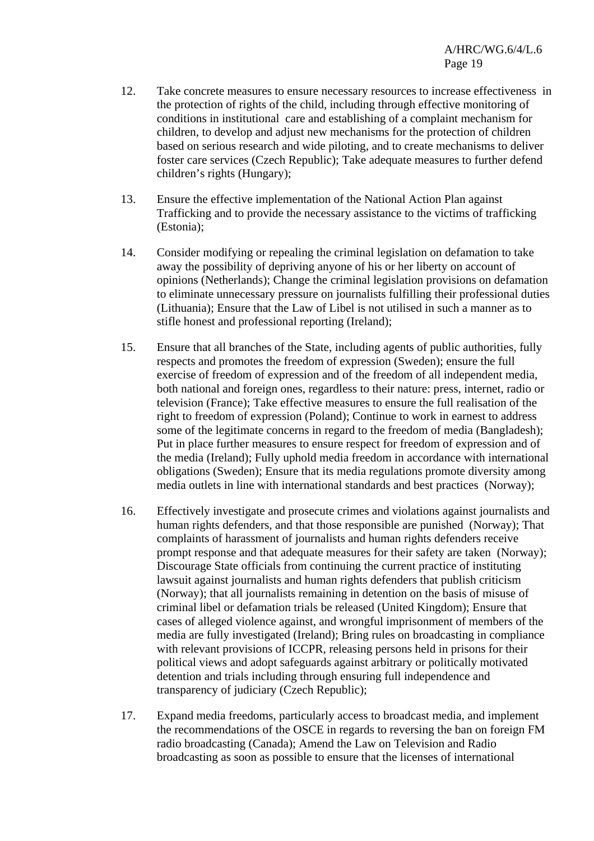- 12. Take concrete measures to ensure necessary resources to increase effectiveness in the protection of rights of the child, including through effective monitoring of conditions in institutional care and establishing of a complaint mechanism for children, to develop and adjust new mechanisms for the protection of children based on serious research and wide piloting, and to create mechanisms to deliver foster care services (Czech Republic); Take adequate measures to further defend children's rights (Hungary);
- 13. Ensure the effective implementation of the National Action Plan against Trafficking and to provide the necessary assistance to the victims of trafficking (Estonia);
- 14. Consider modifying or repealing the criminal legislation on defamation to take away the possibility of depriving anyone of his or her liberty on account of opinions (Netherlands); Change the criminal legislation provisions on defamation to eliminate unnecessary pressure on journalists fulfilling their professional duties (Lithuania); Ensure that the Law of Libel is not utilised in such a manner as to stifle honest and professional reporting (Ireland);
- 15. Ensure that all branches of the State, including agents of public authorities, fully respects and promotes the freedom of expression (Sweden); ensure the full exercise of freedom of expression and of the freedom of all independent media, both national and foreign ones, regardless to their nature: press, internet, radio or television (France); Take effective measures to ensure the full realisation of the right to freedom of expression (Poland); Continue to work in earnest to address some of the legitimate concerns in regard to the freedom of media (Bangladesh); Put in place further measures to ensure respect for freedom of expression and of the media (Ireland); Fully uphold media freedom in accordance with international obligations (Sweden); Ensure that its media regulations promote diversity among media outlets in line with international standards and best practices (Norway);
- 16. Effectively investigate and prosecute crimes and violations against journalists and human rights defenders, and that those responsible are punished (Norway); That complaints of harassment of journalists and human rights defenders receive prompt response and that adequate measures for their safety are taken (Norway); Discourage State officials from continuing the current practice of instituting lawsuit against journalists and human rights defenders that publish criticism (Norway); that all journalists remaining in detention on the basis of misuse of criminal libel or defamation trials be released (United Kingdom); Ensure that cases of alleged violence against, and wrongful imprisonment of members of the media are fully investigated (Ireland); Bring rules on broadcasting in compliance with relevant provisions of ICCPR, releasing persons held in prisons for their political views and adopt safeguards against arbitrary or politically motivated detention and trials including through ensuring full independence and transparency of judiciary (Czech Republic);
- 17. Expand media freedoms, particularly access to broadcast media, and implement the recommendations of the OSCE in regards to reversing the ban on foreign FM radio broadcasting (Canada); Amend the Law on Television and Radio broadcasting as soon as possible to ensure that the licenses of international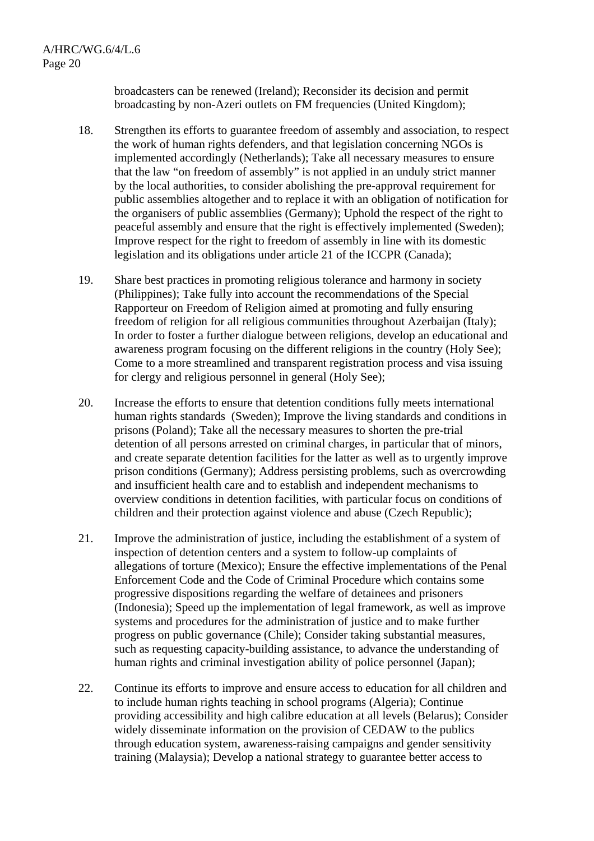broadcasters can be renewed (Ireland); Reconsider its decision and permit broadcasting by non-Azeri outlets on FM frequencies (United Kingdom);

- 18. Strengthen its efforts to guarantee freedom of assembly and association, to respect the work of human rights defenders, and that legislation concerning NGOs is implemented accordingly (Netherlands); Take all necessary measures to ensure that the law "on freedom of assembly" is not applied in an unduly strict manner by the local authorities, to consider abolishing the pre-approval requirement for public assemblies altogether and to replace it with an obligation of notification for the organisers of public assemblies (Germany); Uphold the respect of the right to peaceful assembly and ensure that the right is effectively implemented (Sweden); Improve respect for the right to freedom of assembly in line with its domestic legislation and its obligations under article 21 of the ICCPR (Canada);
- 19. Share best practices in promoting religious tolerance and harmony in society (Philippines); Take fully into account the recommendations of the Special Rapporteur on Freedom of Religion aimed at promoting and fully ensuring freedom of religion for all religious communities throughout Azerbaijan (Italy); In order to foster a further dialogue between religions, develop an educational and awareness program focusing on the different religions in the country (Holy See); Come to a more streamlined and transparent registration process and visa issuing for clergy and religious personnel in general (Holy See);
- 20. Increase the efforts to ensure that detention conditions fully meets international human rights standards (Sweden); Improve the living standards and conditions in prisons (Poland); Take all the necessary measures to shorten the pre-trial detention of all persons arrested on criminal charges, in particular that of minors, and create separate detention facilities for the latter as well as to urgently improve prison conditions (Germany); Address persisting problems, such as overcrowding and insufficient health care and to establish and independent mechanisms to overview conditions in detention facilities, with particular focus on conditions of children and their protection against violence and abuse (Czech Republic);
- 21. Improve the administration of justice, including the establishment of a system of inspection of detention centers and a system to follow-up complaints of allegations of torture (Mexico); Ensure the effective implementations of the Penal Enforcement Code and the Code of Criminal Procedure which contains some progressive dispositions regarding the welfare of detainees and prisoners (Indonesia); Speed up the implementation of legal framework, as well as improve systems and procedures for the administration of justice and to make further progress on public governance (Chile); Consider taking substantial measures, such as requesting capacity-building assistance, to advance the understanding of human rights and criminal investigation ability of police personnel (Japan);
- 22. Continue its efforts to improve and ensure access to education for all children and to include human rights teaching in school programs (Algeria); Continue providing accessibility and high calibre education at all levels (Belarus); Consider widely disseminate information on the provision of CEDAW to the publics through education system, awareness-raising campaigns and gender sensitivity training (Malaysia); Develop a national strategy to guarantee better access to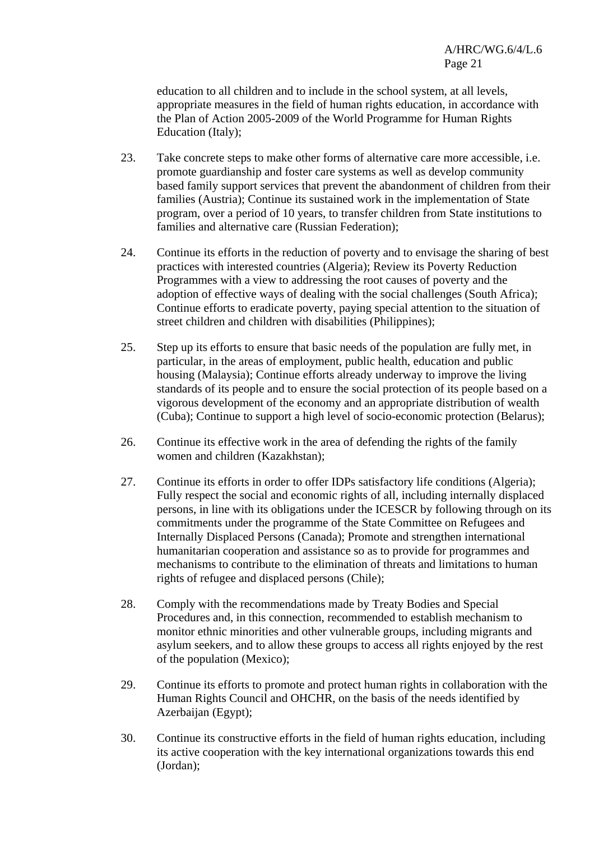education to all children and to include in the school system, at all levels, appropriate measures in the field of human rights education, in accordance with the Plan of Action 2005-2009 of the World Programme for Human Rights Education (Italy);

- 23. Take concrete steps to make other forms of alternative care more accessible, i.e. promote guardianship and foster care systems as well as develop community based family support services that prevent the abandonment of children from their families (Austria); Continue its sustained work in the implementation of State program, over a period of 10 years, to transfer children from State institutions to families and alternative care (Russian Federation);
- 24. Continue its efforts in the reduction of poverty and to envisage the sharing of best practices with interested countries (Algeria); Review its Poverty Reduction Programmes with a view to addressing the root causes of poverty and the adoption of effective ways of dealing with the social challenges (South Africa); Continue efforts to eradicate poverty, paying special attention to the situation of street children and children with disabilities (Philippines);
- 25. Step up its efforts to ensure that basic needs of the population are fully met, in particular, in the areas of employment, public health, education and public housing (Malaysia); Continue efforts already underway to improve the living standards of its people and to ensure the social protection of its people based on a vigorous development of the economy and an appropriate distribution of wealth (Cuba); Continue to support a high level of socio-economic protection (Belarus);
- 26. Continue its effective work in the area of defending the rights of the family women and children (Kazakhstan);
- 27. Continue its efforts in order to offer IDPs satisfactory life conditions (Algeria); Fully respect the social and economic rights of all, including internally displaced persons, in line with its obligations under the ICESCR by following through on its commitments under the programme of the State Committee on Refugees and Internally Displaced Persons (Canada); Promote and strengthen international humanitarian cooperation and assistance so as to provide for programmes and mechanisms to contribute to the elimination of threats and limitations to human rights of refugee and displaced persons (Chile);
- 28. Comply with the recommendations made by Treaty Bodies and Special Procedures and, in this connection, recommended to establish mechanism to monitor ethnic minorities and other vulnerable groups, including migrants and asylum seekers, and to allow these groups to access all rights enjoyed by the rest of the population (Mexico);
- 29. Continue its efforts to promote and protect human rights in collaboration with the Human Rights Council and OHCHR, on the basis of the needs identified by Azerbaijan (Egypt);
- 30. Continue its constructive efforts in the field of human rights education, including its active cooperation with the key international organizations towards this end (Jordan);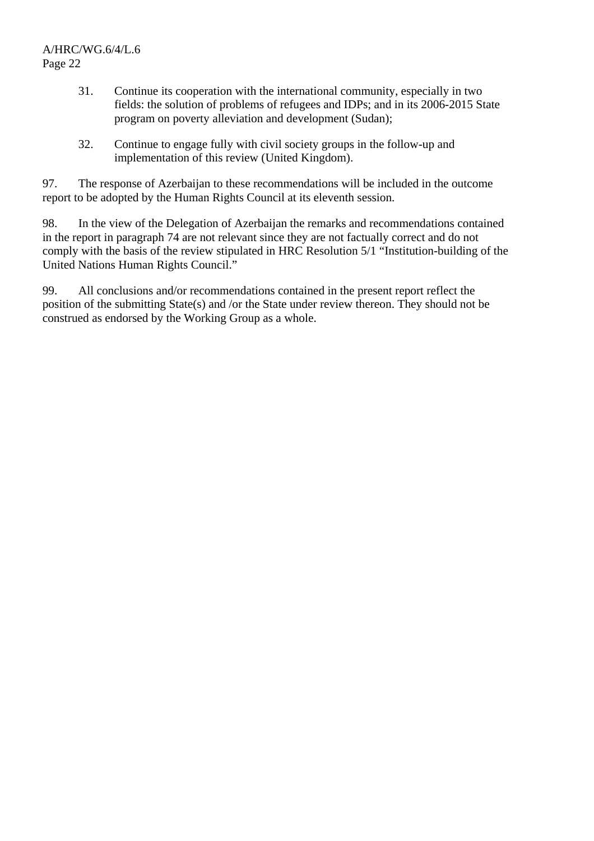#### A/HRC/WG.6/4/L.6 Page 22

- 31. Continue its cooperation with the international community, especially in two fields: the solution of problems of refugees and IDPs; and in its 2006-2015 State program on poverty alleviation and development (Sudan);
- 32. Continue to engage fully with civil society groups in the follow-up and implementation of this review (United Kingdom).

97. The response of Azerbaijan to these recommendations will be included in the outcome report to be adopted by the Human Rights Council at its eleventh session.

98. In the view of the Delegation of Azerbaijan the remarks and recommendations contained in the report in paragraph 74 are not relevant since they are not factually correct and do not comply with the basis of the review stipulated in HRC Resolution 5/1 "Institution-building of the United Nations Human Rights Council."

99. All conclusions and/or recommendations contained in the present report reflect the position of the submitting State(s) and /or the State under review thereon. They should not be construed as endorsed by the Working Group as a whole.